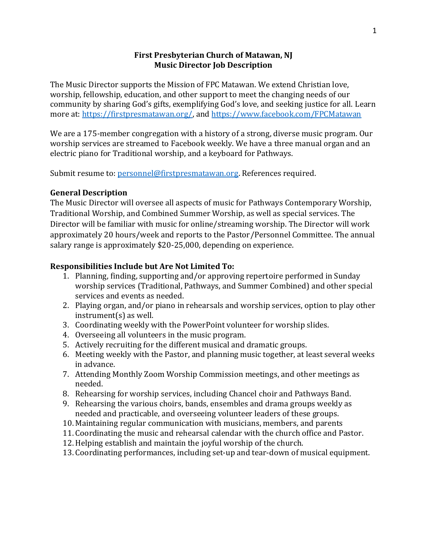## **First Presbyterian Church of Matawan, NJ Music Director Job Description**

The Music Director supports the Mission of FPC Matawan. We extend Christian love, worship, fellowship, education, and other support to meet the changing needs of our community by sharing God's gifts, exemplifying God's love, and seeking justice for all. Learn more at: [https://firstpresmatawan.org/,](https://firstpresmatawan.org/) and<https://www.facebook.com/FPCMatawan>

We are a 175-member congregation with a history of a strong, diverse music program. Our worship services are streamed to Facebook weekly. We have a three manual organ and an electric piano for Traditional worship, and a keyboard for Pathways.

Submit resume to: [personnel@firstpresmatawan.org.](mailto:personnel@firstpresmatawan.org) References required.

### **General Description**

The Music Director will oversee all aspects of music for Pathways Contemporary Worship, Traditional Worship, and Combined Summer Worship, as well as special services. The Director will be familiar with music for online/streaming worship. The Director will work approximately 20 hours/week and reports to the Pastor/Personnel Committee. The annual salary range is approximately \$20-25,000, depending on experience.

### **Responsibilities Include but Are Not Limited To:**

- 1. Planning, finding, supporting and/or approving repertoire performed in Sunday worship services (Traditional, Pathways, and Summer Combined) and other special services and events as needed.
- 2. Playing organ, and/or piano in rehearsals and worship services, option to play other instrument(s) as well.
- 3. Coordinating weekly with the PowerPoint volunteer for worship slides.
- 4. Overseeing all volunteers in the music program.
- 5. Actively recruiting for the different musical and dramatic groups.
- 6. Meeting weekly with the Pastor, and planning music together, at least several weeks in advance.
- 7. Attending Monthly Zoom Worship Commission meetings, and other meetings as needed.
- 8. Rehearsing for worship services, including Chancel choir and Pathways Band.
- 9. Rehearsing the various choirs, bands, ensembles and drama groups weekly as needed and practicable, and overseeing volunteer leaders of these groups.
- 10. Maintaining regular communication with musicians, members, and parents
- 11. Coordinating the music and rehearsal calendar with the church office and Pastor.
- 12.Helping establish and maintain the joyful worship of the church.
- 13. Coordinating performances, including set-up and tear-down of musical equipment.